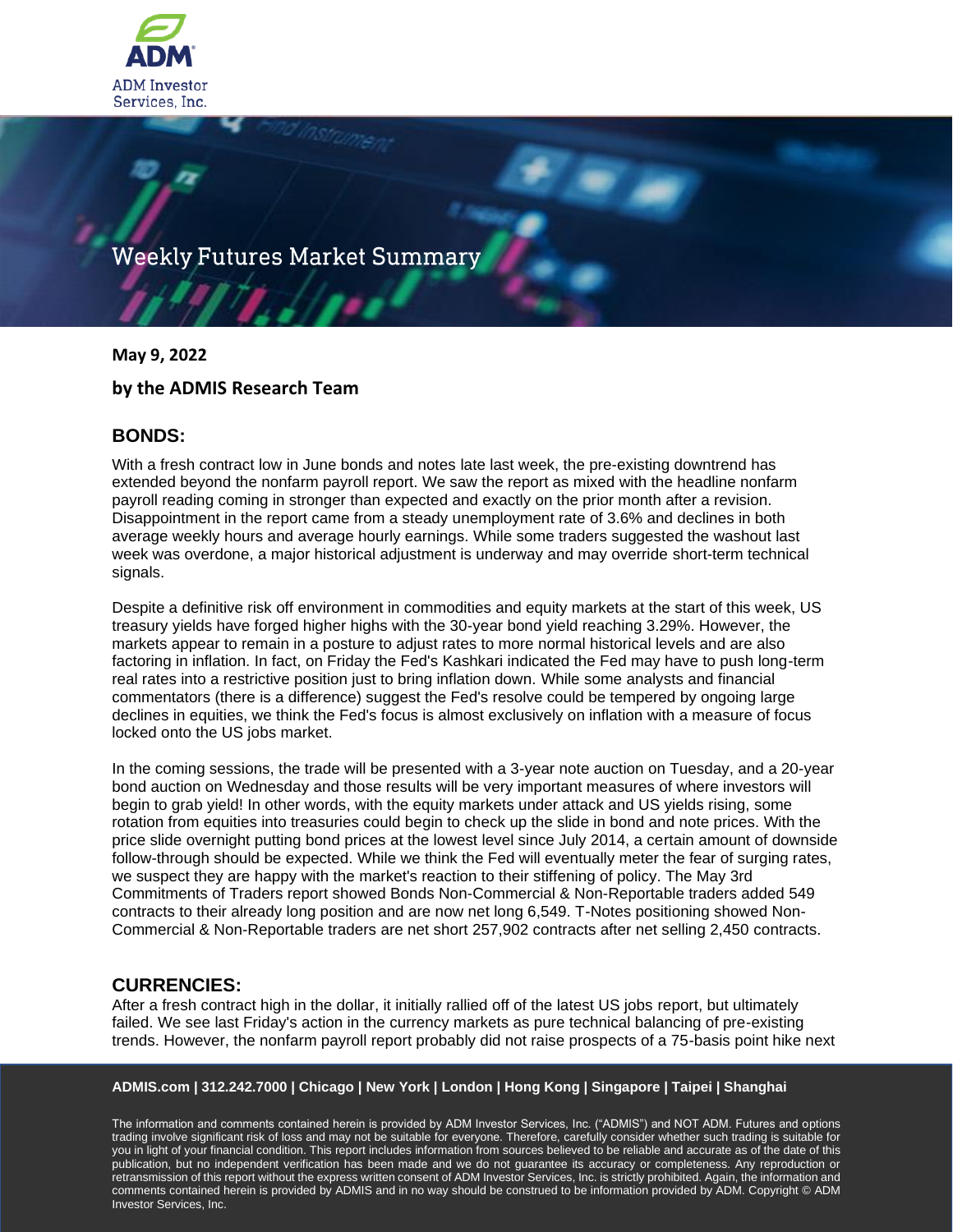

# Weekly Futures Market Summary

**May 9, 2022**

# **by the ADMIS Research Team**

# **BONDS:**

With a fresh contract low in June bonds and notes late last week, the pre-existing downtrend has extended beyond the nonfarm payroll report. We saw the report as mixed with the headline nonfarm payroll reading coming in stronger than expected and exactly on the prior month after a revision. Disappointment in the report came from a steady unemployment rate of 3.6% and declines in both average weekly hours and average hourly earnings. While some traders suggested the washout last week was overdone, a major historical adjustment is underway and may override short-term technical signals.

Despite a definitive risk off environment in commodities and equity markets at the start of this week, US treasury yields have forged higher highs with the 30-year bond yield reaching 3.29%. However, the markets appear to remain in a posture to adjust rates to more normal historical levels and are also factoring in inflation. In fact, on Friday the Fed's Kashkari indicated the Fed may have to push long-term real rates into a restrictive position just to bring inflation down. While some analysts and financial commentators (there is a difference) suggest the Fed's resolve could be tempered by ongoing large declines in equities, we think the Fed's focus is almost exclusively on inflation with a measure of focus locked onto the US jobs market.

In the coming sessions, the trade will be presented with a 3-year note auction on Tuesday, and a 20-year bond auction on Wednesday and those results will be very important measures of where investors will begin to grab yield! In other words, with the equity markets under attack and US yields rising, some rotation from equities into treasuries could begin to check up the slide in bond and note prices. With the price slide overnight putting bond prices at the lowest level since July 2014, a certain amount of downside follow-through should be expected. While we think the Fed will eventually meter the fear of surging rates, we suspect they are happy with the market's reaction to their stiffening of policy. The May 3rd Commitments of Traders report showed Bonds Non-Commercial & Non-Reportable traders added 549 contracts to their already long position and are now net long 6,549. T-Notes positioning showed Non-Commercial & Non-Reportable traders are net short 257,902 contracts after net selling 2,450 contracts.

## **CURRENCIES:**

After a fresh contract high in the dollar, it initially rallied off of the latest US jobs report, but ultimately failed. We see last Friday's action in the currency markets as pure technical balancing of pre-existing trends. However, the nonfarm payroll report probably did not raise prospects of a 75-basis point hike next

#### **ADMIS.com | 312.242.7000 | Chicago | New York | London | Hong Kong | Singapore | Taipei | Shanghai**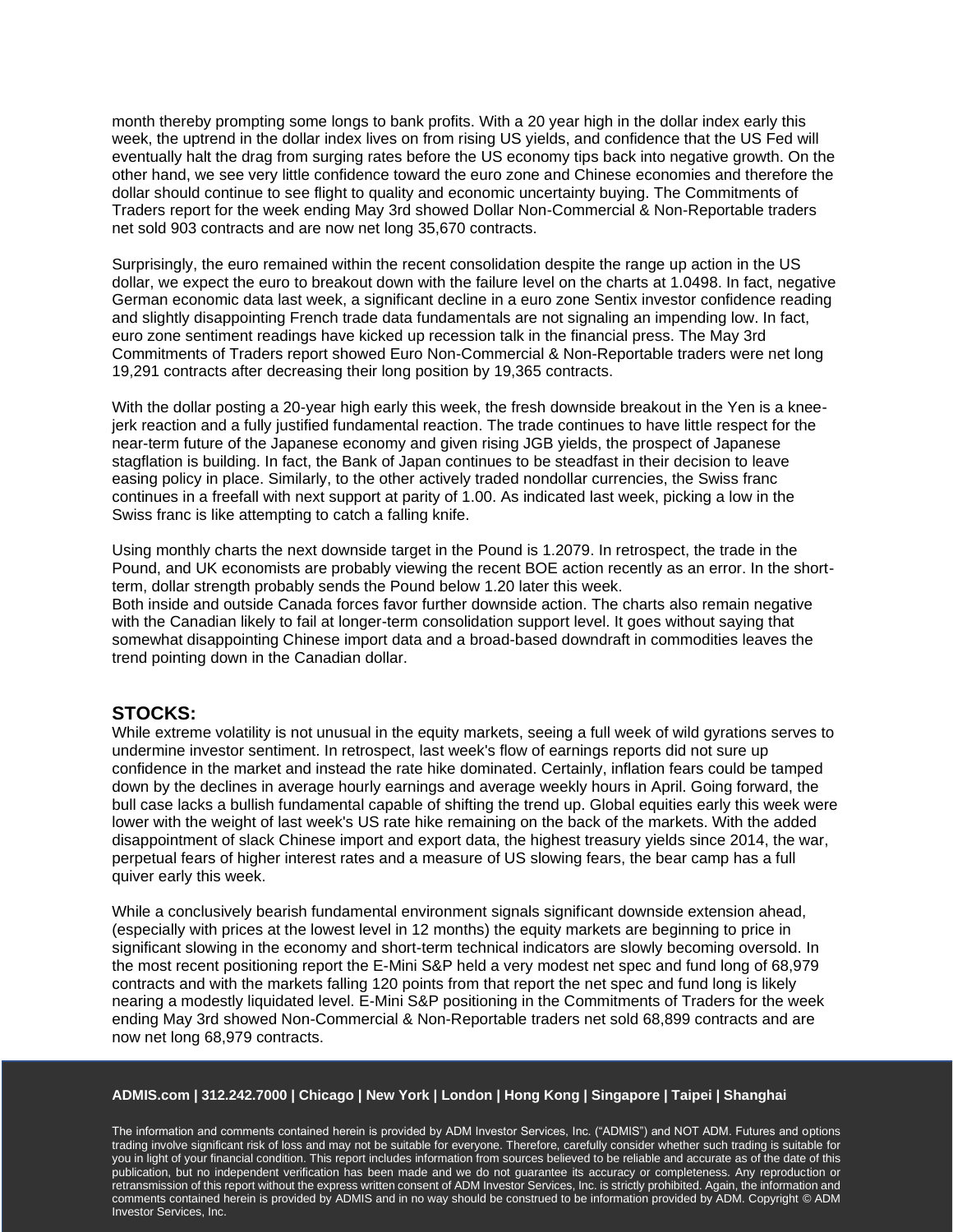month thereby prompting some longs to bank profits. With a 20 year high in the dollar index early this week, the uptrend in the dollar index lives on from rising US yields, and confidence that the US Fed will eventually halt the drag from surging rates before the US economy tips back into negative growth. On the other hand, we see very little confidence toward the euro zone and Chinese economies and therefore the dollar should continue to see flight to quality and economic uncertainty buying. The Commitments of Traders report for the week ending May 3rd showed Dollar Non-Commercial & Non-Reportable traders net sold 903 contracts and are now net long 35,670 contracts.

Surprisingly, the euro remained within the recent consolidation despite the range up action in the US dollar, we expect the euro to breakout down with the failure level on the charts at 1.0498. In fact, negative German economic data last week, a significant decline in a euro zone Sentix investor confidence reading and slightly disappointing French trade data fundamentals are not signaling an impending low. In fact, euro zone sentiment readings have kicked up recession talk in the financial press. The May 3rd Commitments of Traders report showed Euro Non-Commercial & Non-Reportable traders were net long 19,291 contracts after decreasing their long position by 19,365 contracts.

With the dollar posting a 20-year high early this week, the fresh downside breakout in the Yen is a kneejerk reaction and a fully justified fundamental reaction. The trade continues to have little respect for the near-term future of the Japanese economy and given rising JGB yields, the prospect of Japanese stagflation is building. In fact, the Bank of Japan continues to be steadfast in their decision to leave easing policy in place. Similarly, to the other actively traded nondollar currencies, the Swiss franc continues in a freefall with next support at parity of 1.00. As indicated last week, picking a low in the Swiss franc is like attempting to catch a falling knife.

Using monthly charts the next downside target in the Pound is 1.2079. In retrospect, the trade in the Pound, and UK economists are probably viewing the recent BOE action recently as an error. In the shortterm, dollar strength probably sends the Pound below 1.20 later this week. Both inside and outside Canada forces favor further downside action. The charts also remain negative with the Canadian likely to fail at longer-term consolidation support level. It goes without saying that somewhat disappointing Chinese import data and a broad-based downdraft in commodities leaves the trend pointing down in the Canadian dollar.

## **STOCKS:**

While extreme volatility is not unusual in the equity markets, seeing a full week of wild gyrations serves to undermine investor sentiment. In retrospect, last week's flow of earnings reports did not sure up confidence in the market and instead the rate hike dominated. Certainly, inflation fears could be tamped down by the declines in average hourly earnings and average weekly hours in April. Going forward, the bull case lacks a bullish fundamental capable of shifting the trend up. Global equities early this week were lower with the weight of last week's US rate hike remaining on the back of the markets. With the added disappointment of slack Chinese import and export data, the highest treasury yields since 2014, the war, perpetual fears of higher interest rates and a measure of US slowing fears, the bear camp has a full quiver early this week.

While a conclusively bearish fundamental environment signals significant downside extension ahead, (especially with prices at the lowest level in 12 months) the equity markets are beginning to price in significant slowing in the economy and short-term technical indicators are slowly becoming oversold. In the most recent positioning report the E-Mini S&P held a very modest net spec and fund long of 68,979 contracts and with the markets falling 120 points from that report the net spec and fund long is likely nearing a modestly liquidated level. E-Mini S&P positioning in the Commitments of Traders for the week ending May 3rd showed Non-Commercial & Non-Reportable traders net sold 68,899 contracts and are now net long 68,979 contracts.

#### **ADMIS.com | 312.242.7000 | Chicago | New York | London | Hong Kong | Singapore | Taipei | Shanghai**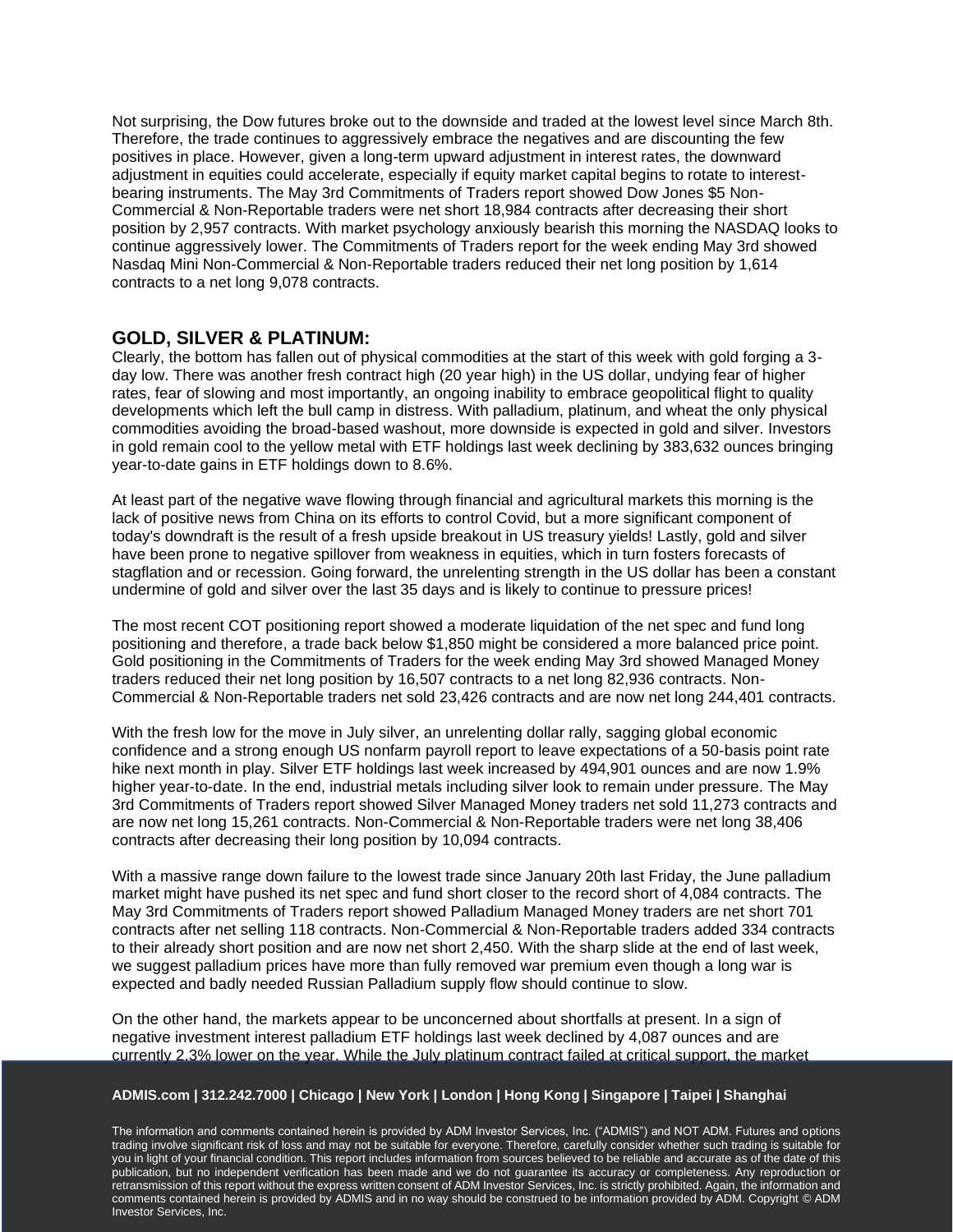Not surprising, the Dow futures broke out to the downside and traded at the lowest level since March 8th. Therefore, the trade continues to aggressively embrace the negatives and are discounting the few positives in place. However, given a long-term upward adjustment in interest rates, the downward adjustment in equities could accelerate, especially if equity market capital begins to rotate to interestbearing instruments. The May 3rd Commitments of Traders report showed Dow Jones \$5 Non-Commercial & Non-Reportable traders were net short 18,984 contracts after decreasing their short position by 2,957 contracts. With market psychology anxiously bearish this morning the NASDAQ looks to continue aggressively lower. The Commitments of Traders report for the week ending May 3rd showed Nasdaq Mini Non-Commercial & Non-Reportable traders reduced their net long position by 1,614 contracts to a net long 9,078 contracts.

# **GOLD, SILVER & PLATINUM:**

Clearly, the bottom has fallen out of physical commodities at the start of this week with gold forging a 3 day low. There was another fresh contract high (20 year high) in the US dollar, undying fear of higher rates, fear of slowing and most importantly, an ongoing inability to embrace geopolitical flight to quality developments which left the bull camp in distress. With palladium, platinum, and wheat the only physical commodities avoiding the broad-based washout, more downside is expected in gold and silver. Investors in gold remain cool to the yellow metal with ETF holdings last week declining by 383,632 ounces bringing year-to-date gains in ETF holdings down to 8.6%.

At least part of the negative wave flowing through financial and agricultural markets this morning is the lack of positive news from China on its efforts to control Covid, but a more significant component of today's downdraft is the result of a fresh upside breakout in US treasury yields! Lastly, gold and silver have been prone to negative spillover from weakness in equities, which in turn fosters forecasts of stagflation and or recession. Going forward, the unrelenting strength in the US dollar has been a constant undermine of gold and silver over the last 35 days and is likely to continue to pressure prices!

The most recent COT positioning report showed a moderate liquidation of the net spec and fund long positioning and therefore, a trade back below \$1,850 might be considered a more balanced price point. Gold positioning in the Commitments of Traders for the week ending May 3rd showed Managed Money traders reduced their net long position by 16,507 contracts to a net long 82,936 contracts. Non-Commercial & Non-Reportable traders net sold 23,426 contracts and are now net long 244,401 contracts.

With the fresh low for the move in July silver, an unrelenting dollar rally, sagging global economic confidence and a strong enough US nonfarm payroll report to leave expectations of a 50-basis point rate hike next month in play. Silver ETF holdings last week increased by 494,901 ounces and are now 1.9% higher year-to-date. In the end, industrial metals including silver look to remain under pressure. The May 3rd Commitments of Traders report showed Silver Managed Money traders net sold 11,273 contracts and are now net long 15,261 contracts. Non-Commercial & Non-Reportable traders were net long 38,406 contracts after decreasing their long position by 10,094 contracts.

With a massive range down failure to the lowest trade since January 20th last Friday, the June palladium market might have pushed its net spec and fund short closer to the record short of 4,084 contracts. The May 3rd Commitments of Traders report showed Palladium Managed Money traders are net short 701 contracts after net selling 118 contracts. Non-Commercial & Non-Reportable traders added 334 contracts to their already short position and are now net short 2,450. With the sharp slide at the end of last week, we suggest palladium prices have more than fully removed war premium even though a long war is expected and badly needed Russian Palladium supply flow should continue to slow.

On the other hand, the markets appear to be unconcerned about shortfalls at present. In a sign of negative investment interest palladium ETF holdings last week declined by 4,087 ounces and are currently 2.3% lower on the year. While the July platinum contract failed at critical support, the market

## **ADMIS.com | 312.242.7000 | Chicago | New York | London | Hong Kong | Singapore | Taipei | Shanghai**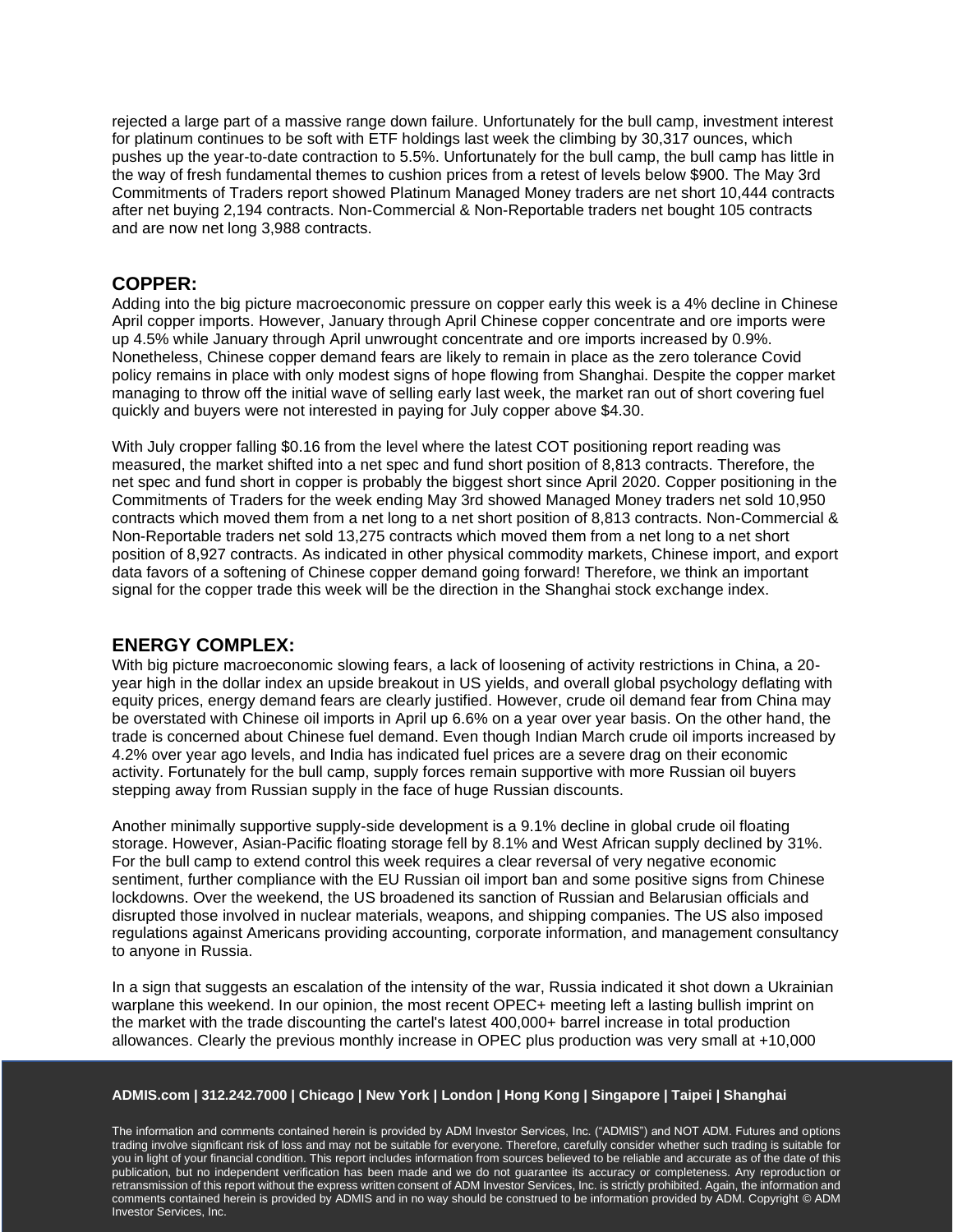rejected a large part of a massive range down failure. Unfortunately for the bull camp, investment interest for platinum continues to be soft with ETF holdings last week the climbing by 30,317 ounces, which pushes up the year-to-date contraction to 5.5%. Unfortunately for the bull camp, the bull camp has little in the way of fresh fundamental themes to cushion prices from a retest of levels below \$900. The May 3rd Commitments of Traders report showed Platinum Managed Money traders are net short 10,444 contracts after net buying 2,194 contracts. Non-Commercial & Non-Reportable traders net bought 105 contracts and are now net long 3,988 contracts.

## **COPPER:**

Adding into the big picture macroeconomic pressure on copper early this week is a 4% decline in Chinese April copper imports. However, January through April Chinese copper concentrate and ore imports were up 4.5% while January through April unwrought concentrate and ore imports increased by 0.9%. Nonetheless, Chinese copper demand fears are likely to remain in place as the zero tolerance Covid policy remains in place with only modest signs of hope flowing from Shanghai. Despite the copper market managing to throw off the initial wave of selling early last week, the market ran out of short covering fuel quickly and buyers were not interested in paying for July copper above \$4.30.

With July cropper falling \$0.16 from the level where the latest COT positioning report reading was measured, the market shifted into a net spec and fund short position of 8,813 contracts. Therefore, the net spec and fund short in copper is probably the biggest short since April 2020. Copper positioning in the Commitments of Traders for the week ending May 3rd showed Managed Money traders net sold 10,950 contracts which moved them from a net long to a net short position of 8,813 contracts. Non-Commercial & Non-Reportable traders net sold 13,275 contracts which moved them from a net long to a net short position of 8,927 contracts. As indicated in other physical commodity markets, Chinese import, and export data favors of a softening of Chinese copper demand going forward! Therefore, we think an important signal for the copper trade this week will be the direction in the Shanghai stock exchange index.

## **ENERGY COMPLEX:**

With big picture macroeconomic slowing fears, a lack of loosening of activity restrictions in China, a 20 year high in the dollar index an upside breakout in US yields, and overall global psychology deflating with equity prices, energy demand fears are clearly justified. However, crude oil demand fear from China may be overstated with Chinese oil imports in April up 6.6% on a year over year basis. On the other hand, the trade is concerned about Chinese fuel demand. Even though Indian March crude oil imports increased by 4.2% over year ago levels, and India has indicated fuel prices are a severe drag on their economic activity. Fortunately for the bull camp, supply forces remain supportive with more Russian oil buyers stepping away from Russian supply in the face of huge Russian discounts.

Another minimally supportive supply-side development is a 9.1% decline in global crude oil floating storage. However, Asian-Pacific floating storage fell by 8.1% and West African supply declined by 31%. For the bull camp to extend control this week requires a clear reversal of very negative economic sentiment, further compliance with the EU Russian oil import ban and some positive signs from Chinese lockdowns. Over the weekend, the US broadened its sanction of Russian and Belarusian officials and disrupted those involved in nuclear materials, weapons, and shipping companies. The US also imposed regulations against Americans providing accounting, corporate information, and management consultancy to anyone in Russia.

In a sign that suggests an escalation of the intensity of the war, Russia indicated it shot down a Ukrainian warplane this weekend. In our opinion, the most recent OPEC+ meeting left a lasting bullish imprint on the market with the trade discounting the cartel's latest 400,000+ barrel increase in total production allowances. Clearly the previous monthly increase in OPEC plus production was very small at +10,000

#### **ADMIS.com | 312.242.7000 | Chicago | New York | London | Hong Kong | Singapore | Taipei | Shanghai**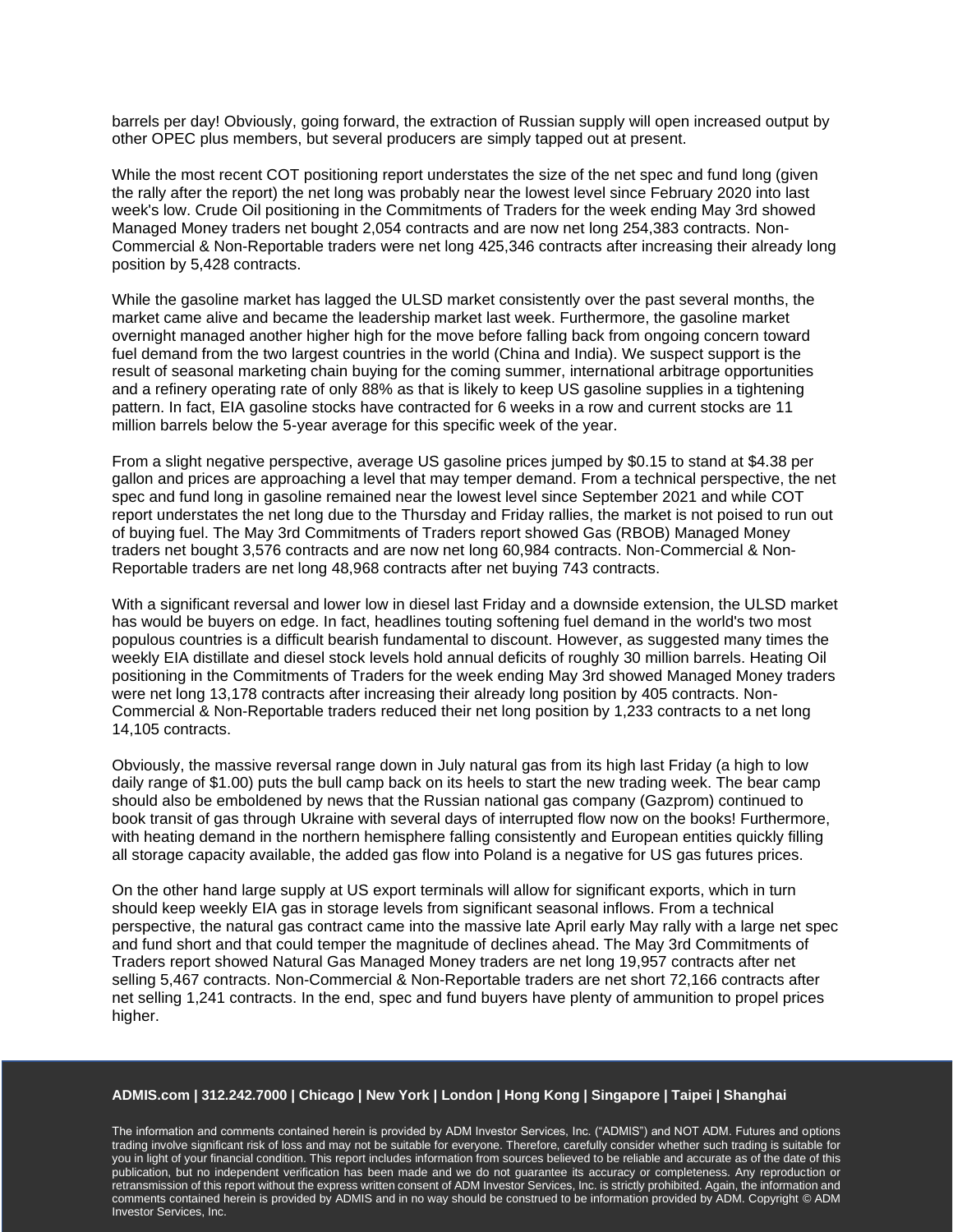barrels per day! Obviously, going forward, the extraction of Russian supply will open increased output by other OPEC plus members, but several producers are simply tapped out at present.

While the most recent COT positioning report understates the size of the net spec and fund long (given the rally after the report) the net long was probably near the lowest level since February 2020 into last week's low. Crude Oil positioning in the Commitments of Traders for the week ending May 3rd showed Managed Money traders net bought 2,054 contracts and are now net long 254,383 contracts. Non-Commercial & Non-Reportable traders were net long 425,346 contracts after increasing their already long position by 5,428 contracts.

While the gasoline market has lagged the ULSD market consistently over the past several months, the market came alive and became the leadership market last week. Furthermore, the gasoline market overnight managed another higher high for the move before falling back from ongoing concern toward fuel demand from the two largest countries in the world (China and India). We suspect support is the result of seasonal marketing chain buying for the coming summer, international arbitrage opportunities and a refinery operating rate of only 88% as that is likely to keep US gasoline supplies in a tightening pattern. In fact, EIA gasoline stocks have contracted for 6 weeks in a row and current stocks are 11 million barrels below the 5-year average for this specific week of the year.

From a slight negative perspective, average US gasoline prices jumped by \$0.15 to stand at \$4.38 per gallon and prices are approaching a level that may temper demand. From a technical perspective, the net spec and fund long in gasoline remained near the lowest level since September 2021 and while COT report understates the net long due to the Thursday and Friday rallies, the market is not poised to run out of buying fuel. The May 3rd Commitments of Traders report showed Gas (RBOB) Managed Money traders net bought 3,576 contracts and are now net long 60,984 contracts. Non-Commercial & Non-Reportable traders are net long 48,968 contracts after net buying 743 contracts.

With a significant reversal and lower low in diesel last Friday and a downside extension, the ULSD market has would be buyers on edge. In fact, headlines touting softening fuel demand in the world's two most populous countries is a difficult bearish fundamental to discount. However, as suggested many times the weekly EIA distillate and diesel stock levels hold annual deficits of roughly 30 million barrels. Heating Oil positioning in the Commitments of Traders for the week ending May 3rd showed Managed Money traders were net long 13,178 contracts after increasing their already long position by 405 contracts. Non-Commercial & Non-Reportable traders reduced their net long position by 1,233 contracts to a net long 14,105 contracts.

Obviously, the massive reversal range down in July natural gas from its high last Friday (a high to low daily range of \$1.00) puts the bull camp back on its heels to start the new trading week. The bear camp should also be emboldened by news that the Russian national gas company (Gazprom) continued to book transit of gas through Ukraine with several days of interrupted flow now on the books! Furthermore, with heating demand in the northern hemisphere falling consistently and European entities quickly filling all storage capacity available, the added gas flow into Poland is a negative for US gas futures prices.

On the other hand large supply at US export terminals will allow for significant exports, which in turn should keep weekly EIA gas in storage levels from significant seasonal inflows. From a technical perspective, the natural gas contract came into the massive late April early May rally with a large net spec and fund short and that could temper the magnitude of declines ahead. The May 3rd Commitments of Traders report showed Natural Gas Managed Money traders are net long 19,957 contracts after net selling 5,467 contracts. Non-Commercial & Non-Reportable traders are net short 72,166 contracts after net selling 1,241 contracts. In the end, spec and fund buyers have plenty of ammunition to propel prices higher.

#### **ADMIS.com | 312.242.7000 | Chicago | New York | London | Hong Kong | Singapore | Taipei | Shanghai**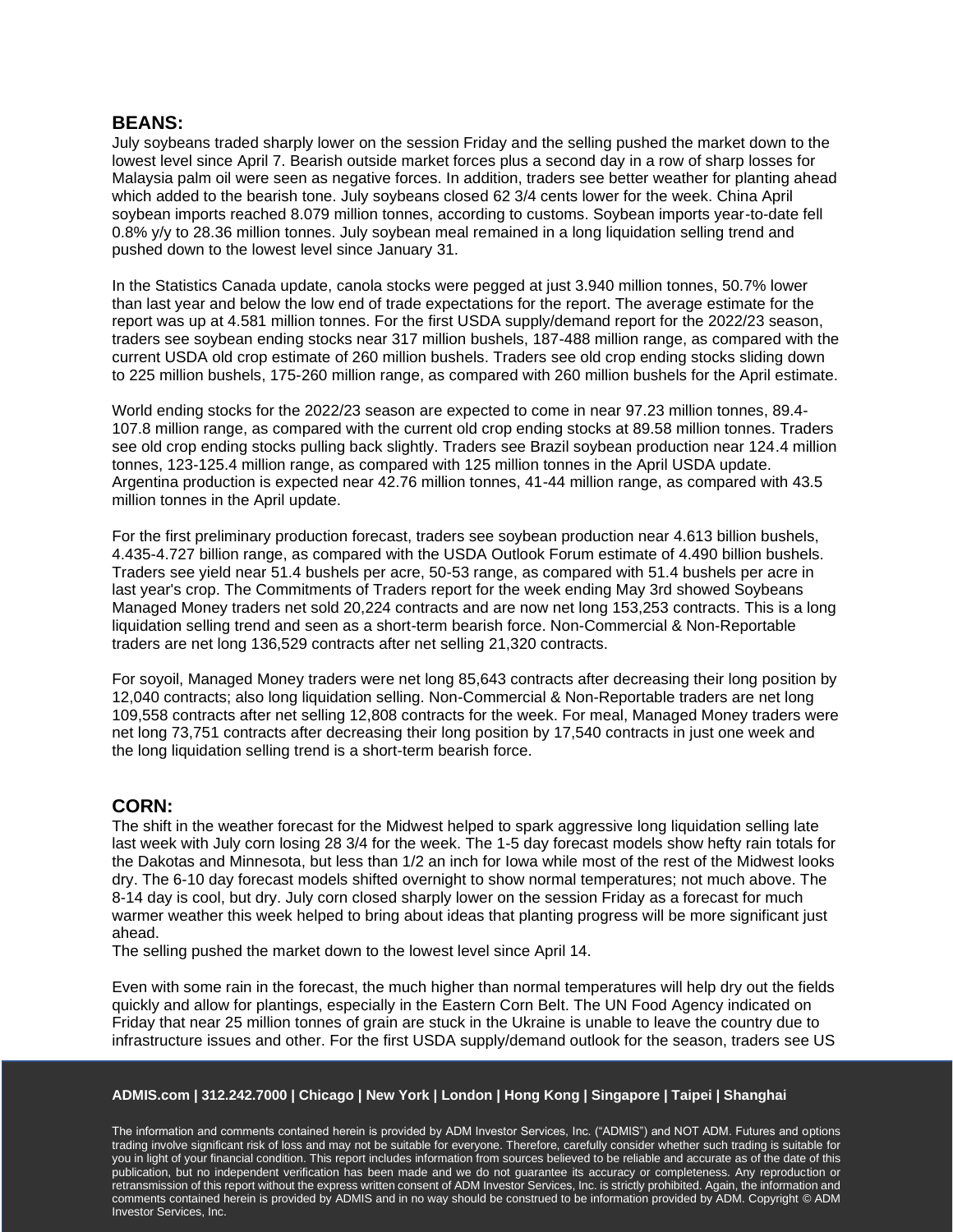## **BEANS:**

July soybeans traded sharply lower on the session Friday and the selling pushed the market down to the lowest level since April 7. Bearish outside market forces plus a second day in a row of sharp losses for Malaysia palm oil were seen as negative forces. In addition, traders see better weather for planting ahead which added to the bearish tone. July soybeans closed 62 3/4 cents lower for the week. China April soybean imports reached 8.079 million tonnes, according to customs. Soybean imports year-to-date fell 0.8% y/y to 28.36 million tonnes. July soybean meal remained in a long liquidation selling trend and pushed down to the lowest level since January 31.

In the Statistics Canada update, canola stocks were pegged at just 3.940 million tonnes, 50.7% lower than last year and below the low end of trade expectations for the report. The average estimate for the report was up at 4.581 million tonnes. For the first USDA supply/demand report for the 2022/23 season, traders see soybean ending stocks near 317 million bushels, 187-488 million range, as compared with the current USDA old crop estimate of 260 million bushels. Traders see old crop ending stocks sliding down to 225 million bushels, 175-260 million range, as compared with 260 million bushels for the April estimate.

World ending stocks for the 2022/23 season are expected to come in near 97.23 million tonnes, 89.4- 107.8 million range, as compared with the current old crop ending stocks at 89.58 million tonnes. Traders see old crop ending stocks pulling back slightly. Traders see Brazil soybean production near 124.4 million tonnes, 123-125.4 million range, as compared with 125 million tonnes in the April USDA update. Argentina production is expected near 42.76 million tonnes, 41-44 million range, as compared with 43.5 million tonnes in the April update.

For the first preliminary production forecast, traders see soybean production near 4.613 billion bushels, 4.435-4.727 billion range, as compared with the USDA Outlook Forum estimate of 4.490 billion bushels. Traders see yield near 51.4 bushels per acre, 50-53 range, as compared with 51.4 bushels per acre in last year's crop. The Commitments of Traders report for the week ending May 3rd showed Soybeans Managed Money traders net sold 20,224 contracts and are now net long 153,253 contracts. This is a long liquidation selling trend and seen as a short-term bearish force. Non-Commercial & Non-Reportable traders are net long 136,529 contracts after net selling 21,320 contracts.

For soyoil, Managed Money traders were net long 85,643 contracts after decreasing their long position by 12,040 contracts; also long liquidation selling. Non-Commercial & Non-Reportable traders are net long 109,558 contracts after net selling 12,808 contracts for the week. For meal, Managed Money traders were net long 73,751 contracts after decreasing their long position by 17,540 contracts in just one week and the long liquidation selling trend is a short-term bearish force.

## **CORN:**

The shift in the weather forecast for the Midwest helped to spark aggressive long liquidation selling late last week with July corn losing 28 3/4 for the week. The 1-5 day forecast models show hefty rain totals for the Dakotas and Minnesota, but less than 1/2 an inch for Iowa while most of the rest of the Midwest looks dry. The 6-10 day forecast models shifted overnight to show normal temperatures; not much above. The 8-14 day is cool, but dry. July corn closed sharply lower on the session Friday as a forecast for much warmer weather this week helped to bring about ideas that planting progress will be more significant just ahead.

The selling pushed the market down to the lowest level since April 14.

Even with some rain in the forecast, the much higher than normal temperatures will help dry out the fields quickly and allow for plantings, especially in the Eastern Corn Belt. The UN Food Agency indicated on Friday that near 25 million tonnes of grain are stuck in the Ukraine is unable to leave the country due to infrastructure issues and other. For the first USDA supply/demand outlook for the season, traders see US

#### **ADMIS.com | 312.242.7000 | Chicago | New York | London | Hong Kong | Singapore | Taipei | Shanghai**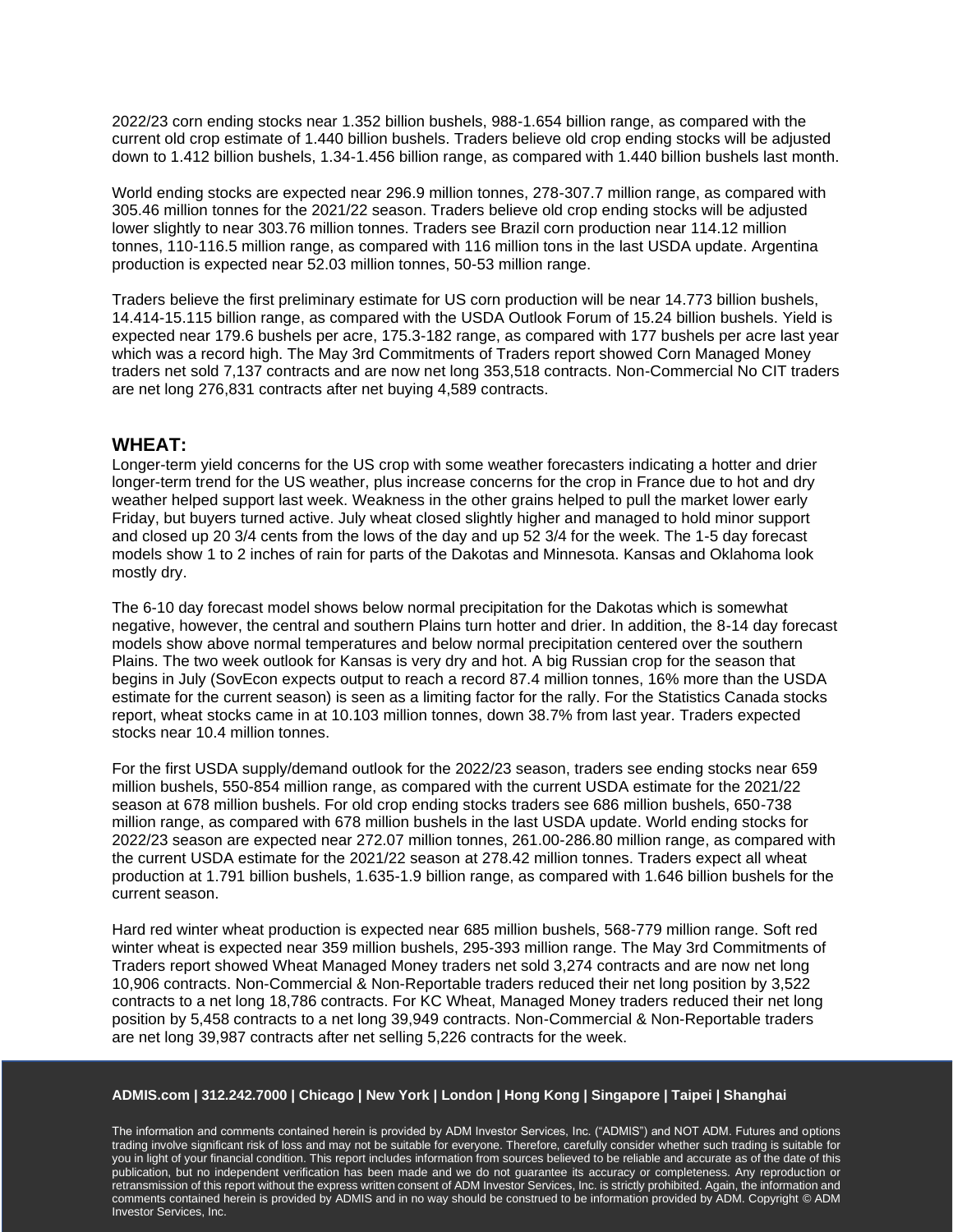2022/23 corn ending stocks near 1.352 billion bushels, 988-1.654 billion range, as compared with the current old crop estimate of 1.440 billion bushels. Traders believe old crop ending stocks will be adjusted down to 1.412 billion bushels, 1.34-1.456 billion range, as compared with 1.440 billion bushels last month.

World ending stocks are expected near 296.9 million tonnes, 278-307.7 million range, as compared with 305.46 million tonnes for the 2021/22 season. Traders believe old crop ending stocks will be adjusted lower slightly to near 303.76 million tonnes. Traders see Brazil corn production near 114.12 million tonnes, 110-116.5 million range, as compared with 116 million tons in the last USDA update. Argentina production is expected near 52.03 million tonnes, 50-53 million range.

Traders believe the first preliminary estimate for US corn production will be near 14.773 billion bushels, 14.414-15.115 billion range, as compared with the USDA Outlook Forum of 15.24 billion bushels. Yield is expected near 179.6 bushels per acre, 175.3-182 range, as compared with 177 bushels per acre last year which was a record high. The May 3rd Commitments of Traders report showed Corn Managed Money traders net sold 7,137 contracts and are now net long 353,518 contracts. Non-Commercial No CIT traders are net long 276,831 contracts after net buying 4,589 contracts.

## **WHEAT:**

Longer-term yield concerns for the US crop with some weather forecasters indicating a hotter and drier longer-term trend for the US weather, plus increase concerns for the crop in France due to hot and dry weather helped support last week. Weakness in the other grains helped to pull the market lower early Friday, but buyers turned active. July wheat closed slightly higher and managed to hold minor support and closed up 20 3/4 cents from the lows of the day and up 52 3/4 for the week. The 1-5 day forecast models show 1 to 2 inches of rain for parts of the Dakotas and Minnesota. Kansas and Oklahoma look mostly dry.

The 6-10 day forecast model shows below normal precipitation for the Dakotas which is somewhat negative, however, the central and southern Plains turn hotter and drier. In addition, the 8-14 day forecast models show above normal temperatures and below normal precipitation centered over the southern Plains. The two week outlook for Kansas is very dry and hot. A big Russian crop for the season that begins in July (SovEcon expects output to reach a record 87.4 million tonnes, 16% more than the USDA estimate for the current season) is seen as a limiting factor for the rally. For the Statistics Canada stocks report, wheat stocks came in at 10.103 million tonnes, down 38.7% from last year. Traders expected stocks near 10.4 million tonnes.

For the first USDA supply/demand outlook for the 2022/23 season, traders see ending stocks near 659 million bushels, 550-854 million range, as compared with the current USDA estimate for the 2021/22 season at 678 million bushels. For old crop ending stocks traders see 686 million bushels, 650-738 million range, as compared with 678 million bushels in the last USDA update. World ending stocks for 2022/23 season are expected near 272.07 million tonnes, 261.00-286.80 million range, as compared with the current USDA estimate for the 2021/22 season at 278.42 million tonnes. Traders expect all wheat production at 1.791 billion bushels, 1.635-1.9 billion range, as compared with 1.646 billion bushels for the current season.

Hard red winter wheat production is expected near 685 million bushels, 568-779 million range. Soft red winter wheat is expected near 359 million bushels, 295-393 million range. The May 3rd Commitments of Traders report showed Wheat Managed Money traders net sold 3,274 contracts and are now net long 10,906 contracts. Non-Commercial & Non-Reportable traders reduced their net long position by 3,522 contracts to a net long 18,786 contracts. For KC Wheat, Managed Money traders reduced their net long position by 5,458 contracts to a net long 39,949 contracts. Non-Commercial & Non-Reportable traders are net long 39,987 contracts after net selling 5,226 contracts for the week.

#### **ADMIS.com | 312.242.7000 | Chicago | New York | London | Hong Kong | Singapore | Taipei | Shanghai**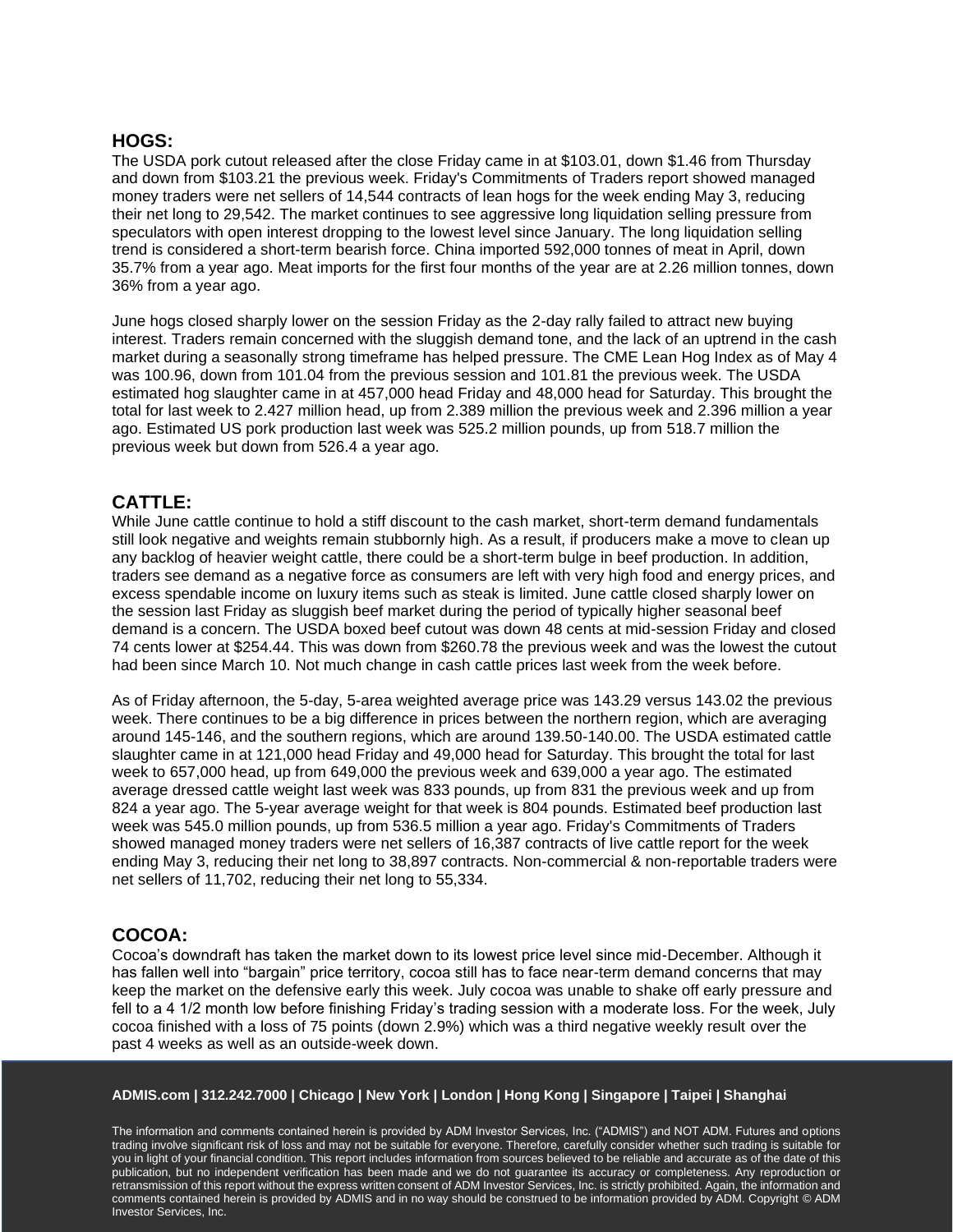## **HOGS:**

The USDA pork cutout released after the close Friday came in at \$103.01, down \$1.46 from Thursday and down from \$103.21 the previous week. Friday's Commitments of Traders report showed managed money traders were net sellers of 14,544 contracts of lean hogs for the week ending May 3, reducing their net long to 29,542. The market continues to see aggressive long liquidation selling pressure from speculators with open interest dropping to the lowest level since January. The long liquidation selling trend is considered a short-term bearish force. China imported 592,000 tonnes of meat in April, down 35.7% from a year ago. Meat imports for the first four months of the year are at 2.26 million tonnes, down 36% from a year ago.

June hogs closed sharply lower on the session Friday as the 2-day rally failed to attract new buying interest. Traders remain concerned with the sluggish demand tone, and the lack of an uptrend in the cash market during a seasonally strong timeframe has helped pressure. The CME Lean Hog Index as of May 4 was 100.96, down from 101.04 from the previous session and 101.81 the previous week. The USDA estimated hog slaughter came in at 457,000 head Friday and 48,000 head for Saturday. This brought the total for last week to 2.427 million head, up from 2.389 million the previous week and 2.396 million a year ago. Estimated US pork production last week was 525.2 million pounds, up from 518.7 million the previous week but down from 526.4 a year ago.

# **CATTLE:**

While June cattle continue to hold a stiff discount to the cash market, short-term demand fundamentals still look negative and weights remain stubbornly high. As a result, if producers make a move to clean up any backlog of heavier weight cattle, there could be a short-term bulge in beef production. In addition, traders see demand as a negative force as consumers are left with very high food and energy prices, and excess spendable income on luxury items such as steak is limited. June cattle closed sharply lower on the session last Friday as sluggish beef market during the period of typically higher seasonal beef demand is a concern. The USDA boxed beef cutout was down 48 cents at mid-session Friday and closed 74 cents lower at \$254.44. This was down from \$260.78 the previous week and was the lowest the cutout had been since March 10. Not much change in cash cattle prices last week from the week before.

As of Friday afternoon, the 5-day, 5-area weighted average price was 143.29 versus 143.02 the previous week. There continues to be a big difference in prices between the northern region, which are averaging around 145-146, and the southern regions, which are around 139.50-140.00. The USDA estimated cattle slaughter came in at 121,000 head Friday and 49,000 head for Saturday. This brought the total for last week to 657,000 head, up from 649,000 the previous week and 639,000 a year ago. The estimated average dressed cattle weight last week was 833 pounds, up from 831 the previous week and up from 824 a year ago. The 5-year average weight for that week is 804 pounds. Estimated beef production last week was 545.0 million pounds, up from 536.5 million a year ago. Friday's Commitments of Traders showed managed money traders were net sellers of 16,387 contracts of live cattle report for the week ending May 3, reducing their net long to 38,897 contracts. Non-commercial & non-reportable traders were net sellers of 11,702, reducing their net long to 55,334.

# **COCOA:**

Cocoa's downdraft has taken the market down to its lowest price level since mid-December. Although it has fallen well into "bargain" price territory, cocoa still has to face near-term demand concerns that may keep the market on the defensive early this week. July cocoa was unable to shake off early pressure and fell to a 4 1/2 month low before finishing Friday's trading session with a moderate loss. For the week, July cocoa finished with a loss of 75 points (down 2.9%) which was a third negative weekly result over the past 4 weeks as well as an outside-week down.

#### **ADMIS.com | 312.242.7000 | Chicago | New York | London | Hong Kong | Singapore | Taipei | Shanghai**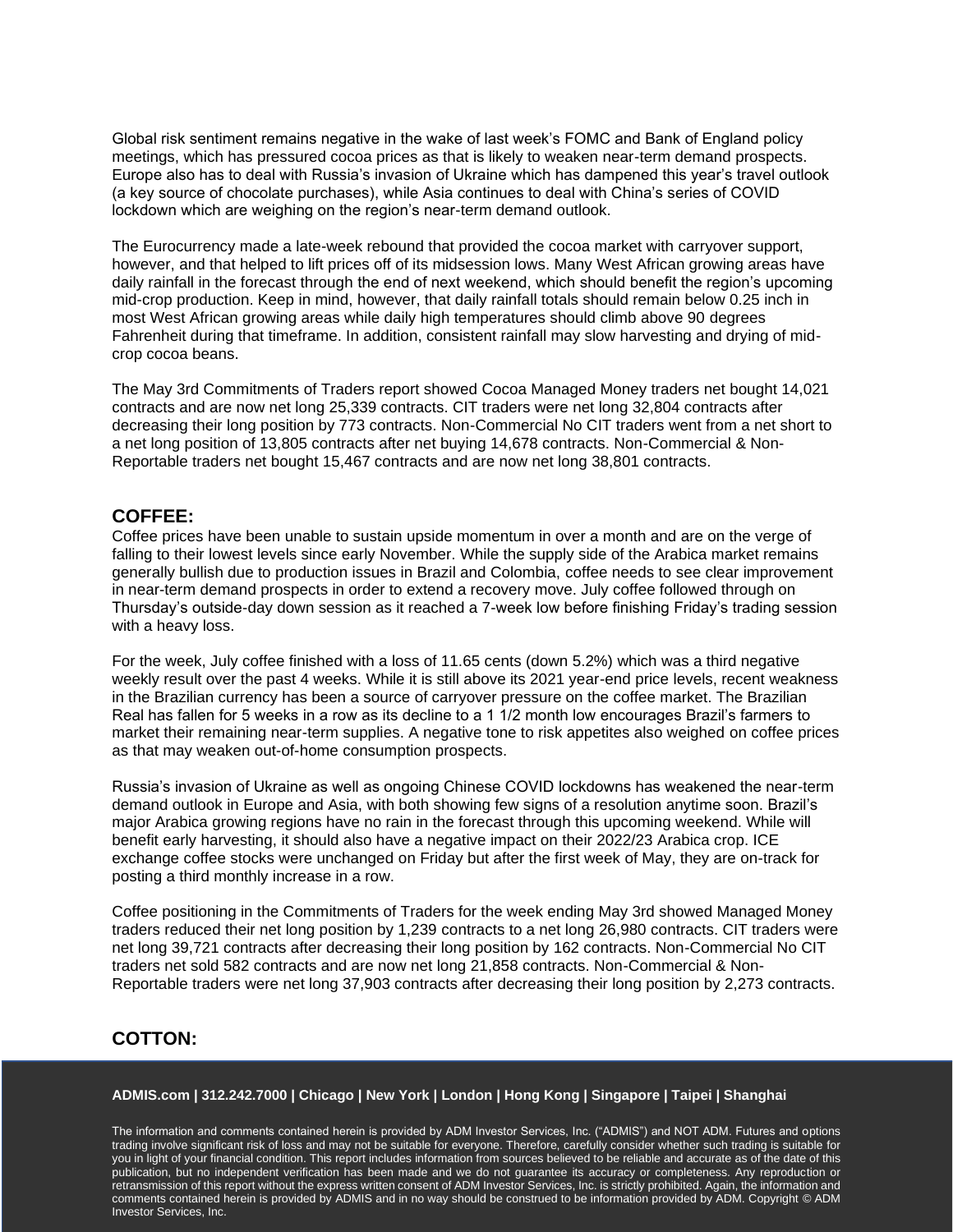Global risk sentiment remains negative in the wake of last week's FOMC and Bank of England policy meetings, which has pressured cocoa prices as that is likely to weaken near-term demand prospects. Europe also has to deal with Russia's invasion of Ukraine which has dampened this year's travel outlook (a key source of chocolate purchases), while Asia continues to deal with China's series of COVID lockdown which are weighing on the region's near-term demand outlook.

The Eurocurrency made a late-week rebound that provided the cocoa market with carryover support, however, and that helped to lift prices off of its midsession lows. Many West African growing areas have daily rainfall in the forecast through the end of next weekend, which should benefit the region's upcoming mid-crop production. Keep in mind, however, that daily rainfall totals should remain below 0.25 inch in most West African growing areas while daily high temperatures should climb above 90 degrees Fahrenheit during that timeframe. In addition, consistent rainfall may slow harvesting and drying of midcrop cocoa beans.

The May 3rd Commitments of Traders report showed Cocoa Managed Money traders net bought 14,021 contracts and are now net long 25,339 contracts. CIT traders were net long 32,804 contracts after decreasing their long position by 773 contracts. Non-Commercial No CIT traders went from a net short to a net long position of 13,805 contracts after net buying 14,678 contracts. Non-Commercial & Non-Reportable traders net bought 15,467 contracts and are now net long 38,801 contracts.

# **COFFEE:**

Coffee prices have been unable to sustain upside momentum in over a month and are on the verge of falling to their lowest levels since early November. While the supply side of the Arabica market remains generally bullish due to production issues in Brazil and Colombia, coffee needs to see clear improvement in near-term demand prospects in order to extend a recovery move. July coffee followed through on Thursday's outside-day down session as it reached a 7-week low before finishing Friday's trading session with a heavy loss.

For the week, July coffee finished with a loss of 11.65 cents (down 5.2%) which was a third negative weekly result over the past 4 weeks. While it is still above its 2021 year-end price levels, recent weakness in the Brazilian currency has been a source of carryover pressure on the coffee market. The Brazilian Real has fallen for 5 weeks in a row as its decline to a 1 1/2 month low encourages Brazil's farmers to market their remaining near-term supplies. A negative tone to risk appetites also weighed on coffee prices as that may weaken out-of-home consumption prospects.

Russia's invasion of Ukraine as well as ongoing Chinese COVID lockdowns has weakened the near-term demand outlook in Europe and Asia, with both showing few signs of a resolution anytime soon. Brazil's major Arabica growing regions have no rain in the forecast through this upcoming weekend. While will benefit early harvesting, it should also have a negative impact on their 2022/23 Arabica crop. ICE exchange coffee stocks were unchanged on Friday but after the first week of May, they are on-track for posting a third monthly increase in a row.

Coffee positioning in the Commitments of Traders for the week ending May 3rd showed Managed Money traders reduced their net long position by 1,239 contracts to a net long 26,980 contracts. CIT traders were net long 39,721 contracts after decreasing their long position by 162 contracts. Non-Commercial No CIT traders net sold 582 contracts and are now net long 21,858 contracts. Non-Commercial & Non-Reportable traders were net long 37,903 contracts after decreasing their long position by 2,273 contracts.

# **COTTON:**

#### **ADMIS.com | 312.242.7000 | Chicago | New York | London | Hong Kong | Singapore | Taipei | Shanghai**